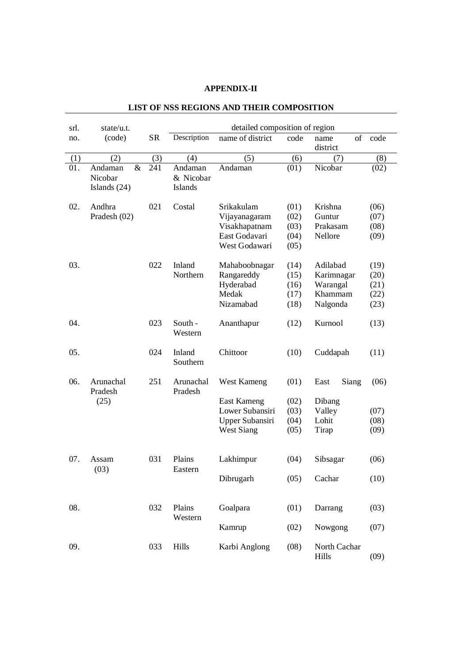## **APPENDIX-II**

| srl. | state/u.t.                                   |           | detailed composition of region         |                                                                                       |                                      |                                                           |                                      |  |
|------|----------------------------------------------|-----------|----------------------------------------|---------------------------------------------------------------------------------------|--------------------------------------|-----------------------------------------------------------|--------------------------------------|--|
| no.  | (code)                                       | <b>SR</b> | Description                            | name of district                                                                      | code                                 | of<br>name<br>district                                    | code                                 |  |
| (1)  | (2)                                          | (3)       | (4)                                    | (5)                                                                                   | (6)                                  | (7)                                                       | (8)                                  |  |
| 01.  | $\&$<br>Andaman<br>Nicobar<br>Islands $(24)$ | 241       | Andaman<br>& Nicobar<br><b>Islands</b> | Andaman                                                                               | (01)                                 | Nicobar                                                   | (02)                                 |  |
| 02.  | Andhra<br>Pradesh (02)                       | 021       | Costal                                 | Srikakulam<br>Vijayanagaram<br>Visakhapatnam<br>East Godavari<br>West Godawari        | (01)<br>(02)<br>(03)<br>(04)<br>(05) | Krishna<br>Guntur<br>Prakasam<br>Nellore                  | (06)<br>(07)<br>(08)<br>(09)         |  |
| 03.  |                                              | 022       | Inland<br>Northern                     | Mahaboobnagar<br>Rangareddy<br>Hyderabad<br>Medak<br>Nizamabad                        | (14)<br>(15)<br>(16)<br>(17)<br>(18) | Adilabad<br>Karimnagar<br>Warangal<br>Khammam<br>Nalgonda | (19)<br>(20)<br>(21)<br>(22)<br>(23) |  |
| 04.  |                                              | 023       | South -<br>Western                     | Ananthapur                                                                            | (12)                                 | Kurnool                                                   | (13)                                 |  |
| 05.  |                                              | 024       | Inland<br>Southern                     | Chittoor                                                                              | (10)                                 | Cuddapah                                                  | (11)                                 |  |
| 06.  | Arunachal<br>Pradesh<br>(25)                 | 251       | Arunachal<br>Pradesh                   | West Kameng<br>East Kameng<br>Lower Subansiri<br>Upper Subansiri<br><b>West Siang</b> | (01)<br>(02)<br>(03)<br>(04)<br>(05) | Siang<br>East<br>Dibang<br>Valley<br>Lohit<br>Tirap       | (06)<br>(07)<br>(08)<br>(09)         |  |
| 07.  | Assam<br>(03)                                | 031       | Plains<br>Eastern                      | Lakhimpur<br>Dibrugarh                                                                | (04)<br>(05)                         | Sibsagar<br>Cachar                                        | (06)<br>(10)                         |  |
| 08.  |                                              | 032       | Plains<br>Western                      | Goalpara<br>Kamrup                                                                    | (01)<br>(02)                         | Darrang<br>Nowgong                                        | (03)<br>(07)                         |  |
| 09.  |                                              | 033       | Hills                                  | Karbi Anglong                                                                         | (08)                                 | North Cachar<br>Hills                                     | (09)                                 |  |

## **LIST OF NSS REGIONS AND THEIR COMPOSITION**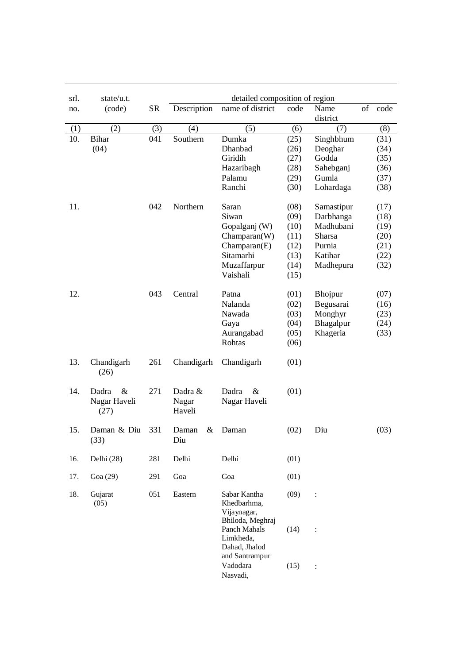| srl. | state/u.t.                            |           |                            | detailed composition of region                                 |                      |                               |    |                      |
|------|---------------------------------------|-----------|----------------------------|----------------------------------------------------------------|----------------------|-------------------------------|----|----------------------|
| no.  | (code)                                | <b>SR</b> | Description                | name of district                                               | code                 | Name<br>district              | of | code                 |
| (1)  | (2)                                   | (3)       | (4)                        | (5)                                                            | (6)                  | (7)                           |    | (8)                  |
| 10.  | <b>Bihar</b><br>(04)                  | 041       | Southern                   | Dumka<br>Dhanbad<br>Giridih                                    | (25)<br>(26)<br>(27) | Singhbhum<br>Deoghar<br>Godda |    | (31)<br>(34)<br>(35) |
|      |                                       |           |                            | Hazaribagh                                                     | (28)                 | Sahebganj                     |    | (36)                 |
|      |                                       |           |                            | Palamu                                                         | (29)                 | Gumla                         |    | (37)                 |
|      |                                       |           |                            | Ranchi                                                         | (30)                 | Lohardaga                     |    | (38)                 |
| 11.  |                                       | 042       | Northern                   | Saran                                                          | (08)                 | Samastipur                    |    | (17)                 |
|      |                                       |           |                            | Siwan                                                          | (09)                 | Darbhanga                     |    | (18)                 |
|      |                                       |           |                            | Gopalganj (W)                                                  | (10)                 | Madhubani                     |    | (19)                 |
|      |                                       |           |                            | Champaran(W)                                                   | (11)                 | Sharsa                        |    | (20)                 |
|      |                                       |           |                            | Champaran(E)                                                   | (12)                 | Purnia                        |    | (21)                 |
|      |                                       |           |                            | Sitamarhi                                                      | (13)                 | Katihar                       |    | (22)                 |
|      |                                       |           |                            | Muzaffarpur                                                    | (14)                 | Madhepura                     |    | (32)                 |
|      |                                       |           |                            | Vaishali                                                       | (15)                 |                               |    |                      |
| 12.  |                                       | 043       | Central                    | Patna                                                          | (01)                 | <b>Bhojpur</b>                |    | (07)                 |
|      |                                       |           |                            | Nalanda                                                        | (02)                 | Begusarai                     |    | (16)                 |
|      |                                       |           |                            | Nawada                                                         | (03)                 | Monghyr                       |    | (23)                 |
|      |                                       |           |                            | Gaya                                                           | (04)                 | Bhagalpur                     |    | (24)                 |
|      |                                       |           |                            | Aurangabad                                                     | (05)                 | Khageria                      |    | (33)                 |
|      |                                       |           |                            | Rohtas                                                         | (06)                 |                               |    |                      |
|      |                                       |           |                            |                                                                |                      |                               |    |                      |
| 13.  | Chandigarh<br>(26)                    | 261       | Chandigarh                 | Chandigarh                                                     | (01)                 |                               |    |                      |
| 14.  | $\&$<br>Dadra<br>Nagar Haveli<br>(27) | 271       | Dadra &<br>Nagar<br>Haveli | $\&$<br>Dadra<br>Nagar Haveli                                  | (01)                 |                               |    |                      |
| 15.  | Daman & Diu<br>(33)                   | 331       | &<br>Daman<br>Diu          | Daman                                                          | (02)                 | Diu                           |    | (03)                 |
| 16.  | Delhi (28)                            | 281       | Delhi                      | Delhi                                                          | (01)                 |                               |    |                      |
| 17.  | Goa (29)                              | 291       | Goa                        | Goa                                                            | (01)                 |                               |    |                      |
| 18.  | Gujarat<br>(05)                       | 051       | Eastern                    | Sabar Kantha<br>Khedbarhma,<br>Vijaynagar,<br>Bhiloda, Meghraj | (09)                 | :                             |    |                      |
|      |                                       |           |                            | Panch Mahals<br>Limkheda,<br>Dahad, Jhalod<br>and Santrampur   | (14)                 | $\ddot{\cdot}$                |    |                      |
|      |                                       |           |                            | Vadodara<br>Nasvadi,                                           | (15)                 | $\vdots$                      |    |                      |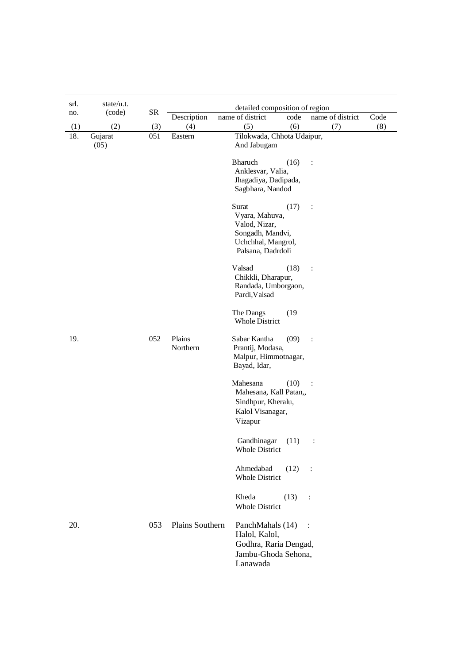| srl. | state/u.t.      |           |                    | detailed composition of region                                                                                  |                      |      |  |  |  |
|------|-----------------|-----------|--------------------|-----------------------------------------------------------------------------------------------------------------|----------------------|------|--|--|--|
| no.  | (code)          | <b>SR</b> | Description        | name of district<br>code                                                                                        | name of district     | Code |  |  |  |
| (1)  | (2)             | (3)       | (4)                | (5)<br>(6)                                                                                                      | (7)                  | (8)  |  |  |  |
| 18.  | Gujarat<br>(05) | 051       | Eastern            | Tilokwada, Chhota Udaipur,<br>And Jabugam                                                                       |                      |      |  |  |  |
|      |                 |           |                    | Bharuch<br>(16)<br>Anklesvar, Valia,<br>Jhagadiya, Dadipada,<br>Sagbhara, Nandod                                | $\ddot{\cdot}$       |      |  |  |  |
|      |                 |           |                    | Surat<br>(17)<br>Vyara, Mahuva,<br>Valod, Nizar,<br>Songadh, Mandvi,<br>Uchchhal, Mangrol,<br>Palsana, Dadrdoli | $\ddot{\cdot}$       |      |  |  |  |
|      |                 |           |                    | Valsad<br>(18)<br>Chikkli, Dharapur,<br>Randada, Umborgaon,<br>Pardi, Valsad                                    | $\ddot{\cdot}$       |      |  |  |  |
|      |                 |           |                    | The Dangs<br>(19)<br><b>Whole District</b>                                                                      |                      |      |  |  |  |
| 19.  |                 | 052       | Plains<br>Northern | Sabar Kantha<br>(09)<br>Prantij, Modasa,<br>Malpur, Himmotnagar,<br>Bayad, Idar,                                | $\ddot{\cdot}$       |      |  |  |  |
|      |                 |           |                    | Mahesana<br>(10)<br>Mahesana, Kall Patan,,<br>Sindhpur, Kheralu,<br>Kalol Visanagar,<br>Vizapur                 | $\ddot{\phantom{a}}$ |      |  |  |  |
|      |                 |           |                    | Gandhinagar<br>(11)<br><b>Whole District</b>                                                                    | $\ddot{\cdot}$       |      |  |  |  |
|      |                 |           |                    | Ahmedabad<br>(12)<br><b>Whole District</b>                                                                      | $\ddot{\phantom{1}}$ |      |  |  |  |
|      |                 |           |                    | Kheda<br>(13)<br><b>Whole District</b>                                                                          | :                    |      |  |  |  |
| 20.  |                 | 053       | Plains Southern    | PanchMahals (14)<br>Halol, Kalol,<br>Godhra, Raria Dengad,<br>Jambu-Ghoda Sehona,<br>Lanawada                   |                      |      |  |  |  |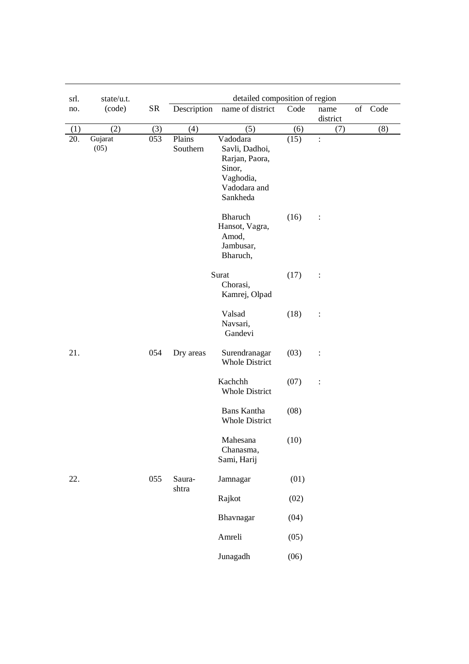| srl. | state/u.t.      |     |                    | detailed composition of region                                                                  |      |                             |
|------|-----------------|-----|--------------------|-------------------------------------------------------------------------------------------------|------|-----------------------------|
| no.  | (code)          | SR  | Description        | name of district                                                                                | Code | of Code<br>name<br>district |
| (1)  | (2)             | (3) | (4)                | (5)                                                                                             | (6)  | (8)<br>(7)                  |
| 20.  | Gujarat<br>(05) | 053 | Plains<br>Southern | Vadodara<br>Savli, Dadhoi,<br>Rarjan, Paora,<br>Sinor,<br>Vaghodia,<br>Vadodara and<br>Sankheda | (15) | $\ddot{\cdot}$              |
|      |                 |     |                    | Bharuch<br>Hansot, Vagra,<br>Amod,<br>Jambusar,<br>Bharuch,                                     | (16) | $\ddot{\cdot}$              |
|      |                 |     |                    | Surat<br>Chorasi,<br>Kamrej, Olpad                                                              | (17) | $\vdots$                    |
|      |                 |     |                    | Valsad<br>Navsari,<br>Gandevi                                                                   | (18) | $\vdots$                    |
| 21.  |                 | 054 | Dry areas          | Surendranagar<br><b>Whole District</b>                                                          | (03) | $\ddot{\cdot}$              |
|      |                 |     |                    | Kachchh<br><b>Whole District</b>                                                                | (07) | $\vdots$                    |
|      |                 |     |                    | <b>Bans Kantha</b><br><b>Whole District</b>                                                     | (08) |                             |
|      |                 |     |                    | Mahesana<br>Chanasma,<br>Sami, Harij                                                            | (10) |                             |
| 22.  |                 | 055 | Saura-<br>shtra    | Jamnagar                                                                                        | (01) |                             |
|      |                 |     |                    | Rajkot                                                                                          | (02) |                             |
|      |                 |     |                    | Bhavnagar                                                                                       | (04) |                             |
|      |                 |     |                    | Amreli                                                                                          | (05) |                             |
|      |                 |     |                    | Junagadh                                                                                        | (06) |                             |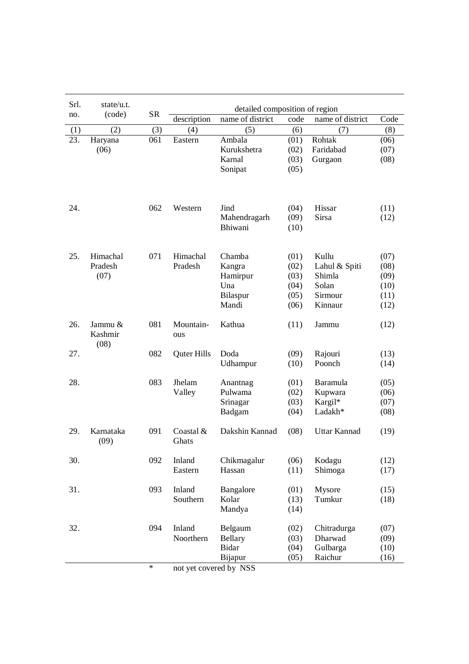| Srl. | state/u.t.                 |           |                        | detailed composition of region |      |                  |      |
|------|----------------------------|-----------|------------------------|--------------------------------|------|------------------|------|
| no.  | (code)                     | <b>SR</b> | description            | name of district               | code | name of district | Code |
| (1)  | (2)                        | (3)       | (4)                    | (5)                            | (6)  | (7)              | (8)  |
| 23.  | Haryana                    | 061       | Eastern                | Ambala                         | (01) | Rohtak           | (06) |
|      | (06)                       |           |                        | Kurukshetra                    | (02) | Faridabad        | (07) |
|      |                            |           |                        | Karnal                         | (03) | Gurgaon          | (08) |
|      |                            |           |                        | Sonipat                        | (05) |                  |      |
|      |                            |           |                        |                                |      |                  |      |
| 24.  |                            | 062       | Western                | Jind                           | (04) | Hissar           | (11) |
|      |                            |           |                        | Mahendragarh                   | (09) | Sirsa            | (12) |
|      |                            |           |                        | Bhiwani                        | (10) |                  |      |
| 25.  | Himachal                   | 071       | Himachal               | Chamba                         | (01) | Kullu            | (07) |
|      | Pradesh                    |           | Pradesh                | Kangra                         | (02) | Lahul & Spiti    | (08) |
|      | (07)                       |           |                        | Hamirpur                       | (03) | Shimla           | (09) |
|      |                            |           |                        | Una                            | (04) | Solan            | (10) |
|      |                            |           |                        | Bilaspur                       | (05) | Sirmour          | (11) |
|      |                            |           |                        | Mandi                          | (06) | Kinnaur          | (12) |
|      |                            |           |                        |                                |      |                  |      |
| 26.  | Jammu &<br>Kashmir<br>(08) | 081       | Mountain-<br>ous       | Kathua                         | (11) | Jammu            | (12) |
| 27.  |                            | 082       | Quter Hills            | Doda                           | (09) | Rajouri          | (13) |
|      |                            |           |                        | Udhampur                       | (10) | Poonch           | (14) |
| 28.  |                            | 083       | Jhelam                 | Anantnag                       | (01) | <b>Baramula</b>  | (05) |
|      |                            |           | Valley                 | Pulwama                        | (02) | Kupwara          | (06) |
|      |                            |           |                        | Srinagar                       | (03) | Kargil*          | (07) |
|      |                            |           |                        | Badgam                         | (04) | Ladakh*          | (08) |
| 29.  | Karnataka<br>(09)          | 091       | Coastal $&$<br>Ghats   | Dakshin Kannad                 | (08) | Uttar Kannad     | (19) |
| 30.  |                            | 092       | Inland                 | Chikmagalur                    | (06) | Kodagu           | (12) |
|      |                            |           | Eastern                | Hassan                         | (11) | Shimoga          | (17) |
| 31.  |                            | 093       | Inland                 | Bangalore                      | (01) | Mysore           | (15) |
|      |                            |           | Southern               | Kolar                          | (13) | Tumkur           |      |
|      |                            |           |                        | Mandya                         | (14) |                  | (18) |
| 32.  |                            | 094       | Inland                 | Belgaum                        | (02) | Chitradurga      | (07) |
|      |                            |           | Noorthern              | <b>Bellary</b>                 | (03) | Dharwad          | (09) |
|      |                            |           |                        | <b>Bidar</b>                   | (04) | Gulbarga         | (10) |
|      |                            |           |                        | Bijapur                        | (05) | Raichur          | (16) |
|      |                            | $\ast$    | not yet covered by NSS |                                |      |                  |      |
|      |                            |           |                        |                                |      |                  |      |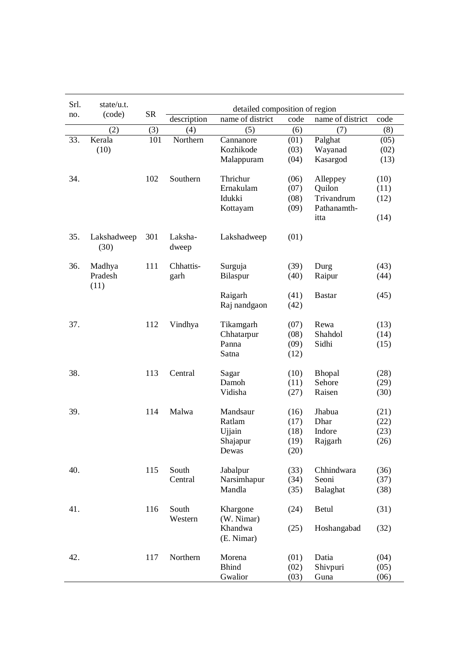| no. | (code)              | <b>SR</b> |                  | detailed composition of region |      |                  |      |
|-----|---------------------|-----------|------------------|--------------------------------|------|------------------|------|
|     |                     |           | description      | name of district               | code | name of district | code |
|     | (2)                 | (3)       | (4)              | (5)                            | (6)  | (7)              | (8)  |
| 33. | Kerala              | 101       | Northern         | Cannanore                      | (01) | Palghat          | (05) |
|     | (10)                |           |                  | Kozhikode                      | (03) | Wayanad          | (02) |
|     |                     |           |                  | Malappuram                     | (04) | Kasargod         | (13) |
| 34. |                     | 102       | Southern         | Thrichur                       | (06) | Alleppey         | (10) |
|     |                     |           |                  | Ernakulam                      | (07) | Quilon           | (11) |
|     |                     |           |                  | Idukki                         | (08) | Trivandrum       | (12) |
|     |                     |           |                  | Kottayam                       | (09) | Pathanamth-      |      |
|     |                     |           |                  |                                |      | itta             | (14) |
| 35. | Lakshadweep<br>(30) | 301       | Laksha-<br>dweep | Lakshadweep                    | (01) |                  |      |
| 36. | Madhya              | 111       | Chhattis-        | Surguja                        | (39) | Durg             | (43) |
|     | Pradesh<br>(11)     |           | garh             | Bilaspur                       | (40) | Raipur           | (44) |
|     |                     |           |                  | Raigarh                        | (41) | <b>Bastar</b>    | (45) |
|     |                     |           |                  | Raj nandgaon                   | (42) |                  |      |
| 37. |                     | 112       | Vindhya          | Tikamgarh                      | (07) | Rewa             | (13) |
|     |                     |           |                  | Chhatarpur                     | (08) | Shahdol          | (14) |
|     |                     |           |                  | Panna                          | (09) | Sidhi            | (15) |
|     |                     |           |                  | Satna                          | (12) |                  |      |
| 38. |                     | 113       | Central          | Sagar                          | (10) | Bhopal           | (28) |
|     |                     |           |                  | Damoh                          | (11) | Sehore           | (29) |
|     |                     |           |                  | Vidisha                        | (27) | Raisen           | (30) |
| 39. |                     | 114       | Malwa            | Mandsaur                       | (16) | Jhabua           | (21) |
|     |                     |           |                  | Ratlam                         | (17) | Dhar             | (22) |
|     |                     |           |                  | Ujjain                         | (18) | Indore           | (23) |
|     |                     |           |                  | Shajapur                       | (19) | Rajgarh          | (26) |
|     |                     |           |                  | Dewas                          | (20) |                  |      |
| 40. |                     | 115       | South            | Jabalpur                       | (33) | Chhindwara       | (36) |
|     |                     |           | Central          | Narsimhapur                    | (34) | Seoni            | (37) |
|     |                     |           |                  | Mandla                         | (35) | Balaghat         | (38) |
| 41. |                     | 116       | South<br>Western | Khargone<br>(W. Nimar)         | (24) | Betul            | (31) |
|     |                     |           |                  | Khandwa<br>(E. Nimar)          | (25) | Hoshangabad      | (32) |
| 42. |                     | 117       | Northern         | Morena                         | (01) | Datia            | (04) |
|     |                     |           |                  | <b>Bhind</b>                   | (02) | Shivpuri         | (05) |
|     |                     |           |                  | Gwalior                        | (03) | Guna             | (06) |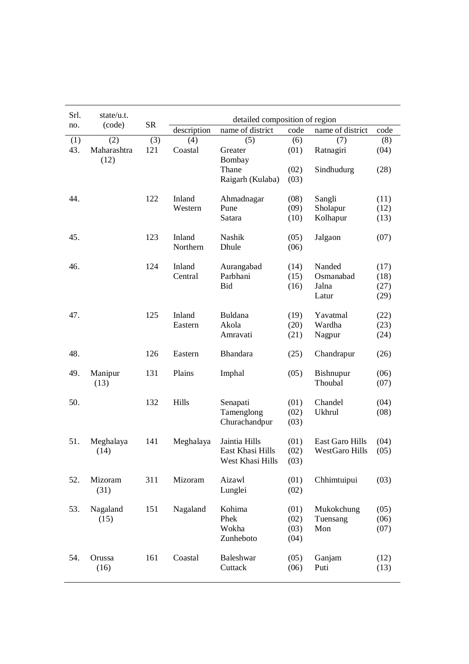| Srl.<br>no. | state/u.t.<br>(code) | <b>SR</b> |             | detailed composition of region |      |                        |      |
|-------------|----------------------|-----------|-------------|--------------------------------|------|------------------------|------|
|             |                      |           | description | name of district               | code | name of district       | code |
| (1)         | (2)                  | (3)       | (4)         | (5)                            | (6)  | (7)                    | (8)  |
| 43.         | Maharashtra          | 121       | Coastal     | Greater                        | (01) | Ratnagiri              | (04) |
|             | (12)                 |           |             | Bombay                         |      |                        |      |
|             |                      |           |             | Thane                          | (02) | Sindhudurg             | (28) |
|             |                      |           |             | Raigarh (Kulaba)               | (03) |                        |      |
| 44.         |                      | 122       | Inland      | Ahmadnagar                     | (08) | Sangli                 | (11) |
|             |                      |           | Western     | Pune                           | (09) | Sholapur               | (12) |
|             |                      |           |             | Satara                         | (10) | Kolhapur               | (13) |
| 45.         |                      | 123       | Inland      | Nashik                         | (05) | Jalgaon                | (07) |
|             |                      |           | Northern    | Dhule                          | (06) |                        |      |
| 46.         |                      | 124       | Inland      | Aurangabad                     | (14) | Nanded                 | (17) |
|             |                      |           | Central     | Parbhani                       | (15) | Osmanabad              | (18) |
|             |                      |           |             | Bid                            | (16) | Jalna                  | (27) |
|             |                      |           |             |                                |      | Latur                  | (29) |
| 47.         |                      | 125       | Inland      | Buldana                        | (19) | Yavatmal               | (22) |
|             |                      |           | Eastern     | Akola                          | (20) | Wardha                 | (23) |
|             |                      |           |             | Amravati                       | (21) | Nagpur                 | (24) |
| 48.         |                      | 126       | Eastern     | Bhandara                       | (25) | Chandrapur             | (26) |
| 49.         | Manipur              | 131       | Plains      | Imphal                         | (05) | <b>Bishnupur</b>       | (06) |
|             | (13)                 |           |             |                                |      | Thoubal                | (07) |
| 50.         |                      | 132       | Hills       | Senapati                       | (01) | Chandel                | (04) |
|             |                      |           |             | Tamenglong                     | (02) | Ukhrul                 | (08) |
|             |                      |           |             | Churachandpur                  | (03) |                        |      |
| 51.         | Meghalaya            | 141       | Meghalaya   | Jaintia Hills                  | (01) | <b>East Garo Hills</b> | (04) |
|             | (14)                 |           |             | East Khasi Hills               | (02) | WestGaro Hills         | (05) |
|             |                      |           |             | West Khasi Hills               | (03) |                        |      |
| 52.         | Mizoram              | 311       | Mizoram     | Aizawl                         | (01) | Chhimtuipui            | (03) |
|             | (31)                 |           |             | Lunglei                        | (02) |                        |      |
| 53.         | Nagaland             | 151       | Nagaland    | Kohima                         | (01) | Mukokchung             | (05) |
|             | (15)                 |           |             | Phek                           | (02) | Tuensang               | (06) |
|             |                      |           |             | Wokha                          | (03) | Mon                    | (07) |
|             |                      |           |             | Zunheboto                      | (04) |                        |      |
| 54.         | Orussa               | 161       | Coastal     | Baleshwar                      | (05) | Ganjam                 | (12) |
|             | (16)                 |           |             | Cuttack                        | (06) | Puti                   | (13) |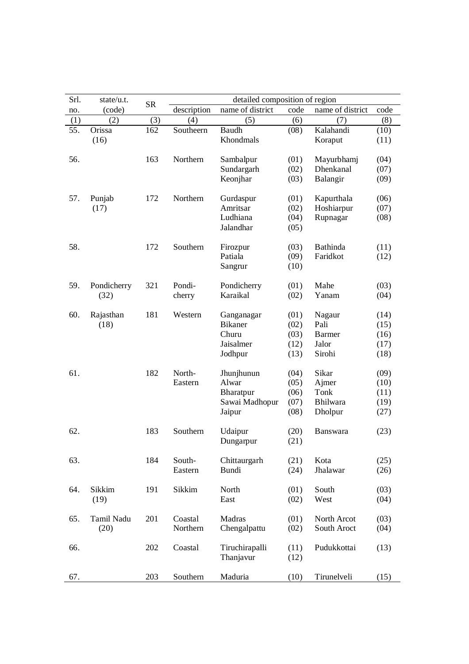| description<br>name of district<br>name of district<br>code<br>(code)<br>no.<br>(2)<br>(3)<br>(5)<br>(4)<br>(6)<br>(7)<br>(1)<br>55.<br>Orissa<br>162<br>Southeern<br><b>Baudh</b><br>Kalahandi<br>(08)<br>Khondmals<br>(16)<br>Koraput<br>56.<br>163<br>Northern<br>Sambalpur<br>(01)<br>Mayurbhamj<br>Sundargarh<br>Dhenkanal<br>(02)<br>Keonjhar<br>Balangir<br>(03)<br>57.<br>172<br>Northern<br>Kapurthala<br>Punjab<br>Gurdaspur<br>(01)<br>Amritsar<br>(02)<br>Hoshiarpur<br>(17)<br>Ludhiana<br>(04)<br>Rupnagar<br>Jalandhar<br>(05)<br>58.<br>172<br>Southern<br><b>Bathinda</b><br>(03)<br>Firozpur<br>Patiala<br>Faridkot<br>(09)<br>Sangrur<br>(10)<br>59.<br>321<br>Mahe<br>Pondicherry<br>Pondi-<br>Pondicherry<br>(01)<br>Karaikal<br>(32)<br>(02)<br>Yanam<br>cherry<br>60.<br>181<br>Rajasthan<br>Western<br>(01)<br>Nagaur<br>Ganganagar<br><b>Bikaner</b><br>Pali<br>(18)<br>(02)<br>Churu<br>(03)<br><b>Barmer</b><br>Jaisalmer<br>Jalor<br>(12)<br>Sirohi<br>Jodhpur<br>(13)<br>61.<br>182<br>North-<br>Jhunjhunun<br>Sikar<br>(04)<br>Alwar<br>Ajmer<br>Eastern<br>(05)<br>(06)<br>Tonk<br>Bharatpur<br><b>Bhilwara</b><br>Sawai Madhopur<br>(07)<br>(08)<br>Jaipur<br>Dholpur<br>62.<br>183<br>Southern<br>Udaipur<br>(20)<br>Banswara<br>(21)<br>Dungarpur<br>63.<br>184<br>South-<br>Chittaurgarh<br>(21)<br>Kota<br>Eastern<br>Bundi<br>(24)<br>Jhalawar<br>Sikkim<br>Sikkim<br>64.<br>191<br>North<br>South<br>(01)<br>(19)<br>(02)<br>West<br>East<br>Tamil Nadu<br>201<br>Coastal<br>Madras<br>North Arcot<br>65.<br>(01)<br>(20)<br>Northern<br>Chengalpattu<br>(02)<br>South Aroct<br>66.<br>202<br>Coastal<br>Tiruchirapalli<br>Pudukkottai<br>(11)<br>Thanjavur<br>(12) | Srl. | state/u.t. | <b>SR</b> | detailed composition of region |  |      |
|-----------------------------------------------------------------------------------------------------------------------------------------------------------------------------------------------------------------------------------------------------------------------------------------------------------------------------------------------------------------------------------------------------------------------------------------------------------------------------------------------------------------------------------------------------------------------------------------------------------------------------------------------------------------------------------------------------------------------------------------------------------------------------------------------------------------------------------------------------------------------------------------------------------------------------------------------------------------------------------------------------------------------------------------------------------------------------------------------------------------------------------------------------------------------------------------------------------------------------------------------------------------------------------------------------------------------------------------------------------------------------------------------------------------------------------------------------------------------------------------------------------------------------------------------------------------------------------------------------------------------------------------------------------------------------------------------------------|------|------------|-----------|--------------------------------|--|------|
|                                                                                                                                                                                                                                                                                                                                                                                                                                                                                                                                                                                                                                                                                                                                                                                                                                                                                                                                                                                                                                                                                                                                                                                                                                                                                                                                                                                                                                                                                                                                                                                                                                                                                                           |      |            |           |                                |  | code |
|                                                                                                                                                                                                                                                                                                                                                                                                                                                                                                                                                                                                                                                                                                                                                                                                                                                                                                                                                                                                                                                                                                                                                                                                                                                                                                                                                                                                                                                                                                                                                                                                                                                                                                           |      |            |           |                                |  | (8)  |
|                                                                                                                                                                                                                                                                                                                                                                                                                                                                                                                                                                                                                                                                                                                                                                                                                                                                                                                                                                                                                                                                                                                                                                                                                                                                                                                                                                                                                                                                                                                                                                                                                                                                                                           |      |            |           |                                |  | (10) |
|                                                                                                                                                                                                                                                                                                                                                                                                                                                                                                                                                                                                                                                                                                                                                                                                                                                                                                                                                                                                                                                                                                                                                                                                                                                                                                                                                                                                                                                                                                                                                                                                                                                                                                           |      |            |           |                                |  | (11) |
|                                                                                                                                                                                                                                                                                                                                                                                                                                                                                                                                                                                                                                                                                                                                                                                                                                                                                                                                                                                                                                                                                                                                                                                                                                                                                                                                                                                                                                                                                                                                                                                                                                                                                                           |      |            |           |                                |  | (04) |
|                                                                                                                                                                                                                                                                                                                                                                                                                                                                                                                                                                                                                                                                                                                                                                                                                                                                                                                                                                                                                                                                                                                                                                                                                                                                                                                                                                                                                                                                                                                                                                                                                                                                                                           |      |            |           |                                |  | (07) |
|                                                                                                                                                                                                                                                                                                                                                                                                                                                                                                                                                                                                                                                                                                                                                                                                                                                                                                                                                                                                                                                                                                                                                                                                                                                                                                                                                                                                                                                                                                                                                                                                                                                                                                           |      |            |           |                                |  | (09) |
|                                                                                                                                                                                                                                                                                                                                                                                                                                                                                                                                                                                                                                                                                                                                                                                                                                                                                                                                                                                                                                                                                                                                                                                                                                                                                                                                                                                                                                                                                                                                                                                                                                                                                                           |      |            |           |                                |  | (06) |
|                                                                                                                                                                                                                                                                                                                                                                                                                                                                                                                                                                                                                                                                                                                                                                                                                                                                                                                                                                                                                                                                                                                                                                                                                                                                                                                                                                                                                                                                                                                                                                                                                                                                                                           |      |            |           |                                |  | (07) |
|                                                                                                                                                                                                                                                                                                                                                                                                                                                                                                                                                                                                                                                                                                                                                                                                                                                                                                                                                                                                                                                                                                                                                                                                                                                                                                                                                                                                                                                                                                                                                                                                                                                                                                           |      |            |           |                                |  | (08) |
|                                                                                                                                                                                                                                                                                                                                                                                                                                                                                                                                                                                                                                                                                                                                                                                                                                                                                                                                                                                                                                                                                                                                                                                                                                                                                                                                                                                                                                                                                                                                                                                                                                                                                                           |      |            |           |                                |  |      |
|                                                                                                                                                                                                                                                                                                                                                                                                                                                                                                                                                                                                                                                                                                                                                                                                                                                                                                                                                                                                                                                                                                                                                                                                                                                                                                                                                                                                                                                                                                                                                                                                                                                                                                           |      |            |           |                                |  | (11) |
|                                                                                                                                                                                                                                                                                                                                                                                                                                                                                                                                                                                                                                                                                                                                                                                                                                                                                                                                                                                                                                                                                                                                                                                                                                                                                                                                                                                                                                                                                                                                                                                                                                                                                                           |      |            |           |                                |  | (12) |
|                                                                                                                                                                                                                                                                                                                                                                                                                                                                                                                                                                                                                                                                                                                                                                                                                                                                                                                                                                                                                                                                                                                                                                                                                                                                                                                                                                                                                                                                                                                                                                                                                                                                                                           |      |            |           |                                |  |      |
|                                                                                                                                                                                                                                                                                                                                                                                                                                                                                                                                                                                                                                                                                                                                                                                                                                                                                                                                                                                                                                                                                                                                                                                                                                                                                                                                                                                                                                                                                                                                                                                                                                                                                                           |      |            |           |                                |  | (03) |
|                                                                                                                                                                                                                                                                                                                                                                                                                                                                                                                                                                                                                                                                                                                                                                                                                                                                                                                                                                                                                                                                                                                                                                                                                                                                                                                                                                                                                                                                                                                                                                                                                                                                                                           |      |            |           |                                |  | (04) |
|                                                                                                                                                                                                                                                                                                                                                                                                                                                                                                                                                                                                                                                                                                                                                                                                                                                                                                                                                                                                                                                                                                                                                                                                                                                                                                                                                                                                                                                                                                                                                                                                                                                                                                           |      |            |           |                                |  | (14) |
|                                                                                                                                                                                                                                                                                                                                                                                                                                                                                                                                                                                                                                                                                                                                                                                                                                                                                                                                                                                                                                                                                                                                                                                                                                                                                                                                                                                                                                                                                                                                                                                                                                                                                                           |      |            |           |                                |  | (15) |
|                                                                                                                                                                                                                                                                                                                                                                                                                                                                                                                                                                                                                                                                                                                                                                                                                                                                                                                                                                                                                                                                                                                                                                                                                                                                                                                                                                                                                                                                                                                                                                                                                                                                                                           |      |            |           |                                |  | (16) |
|                                                                                                                                                                                                                                                                                                                                                                                                                                                                                                                                                                                                                                                                                                                                                                                                                                                                                                                                                                                                                                                                                                                                                                                                                                                                                                                                                                                                                                                                                                                                                                                                                                                                                                           |      |            |           |                                |  | (17) |
|                                                                                                                                                                                                                                                                                                                                                                                                                                                                                                                                                                                                                                                                                                                                                                                                                                                                                                                                                                                                                                                                                                                                                                                                                                                                                                                                                                                                                                                                                                                                                                                                                                                                                                           |      |            |           |                                |  | (18) |
|                                                                                                                                                                                                                                                                                                                                                                                                                                                                                                                                                                                                                                                                                                                                                                                                                                                                                                                                                                                                                                                                                                                                                                                                                                                                                                                                                                                                                                                                                                                                                                                                                                                                                                           |      |            |           |                                |  | (09) |
|                                                                                                                                                                                                                                                                                                                                                                                                                                                                                                                                                                                                                                                                                                                                                                                                                                                                                                                                                                                                                                                                                                                                                                                                                                                                                                                                                                                                                                                                                                                                                                                                                                                                                                           |      |            |           |                                |  | (10) |
|                                                                                                                                                                                                                                                                                                                                                                                                                                                                                                                                                                                                                                                                                                                                                                                                                                                                                                                                                                                                                                                                                                                                                                                                                                                                                                                                                                                                                                                                                                                                                                                                                                                                                                           |      |            |           |                                |  | (11) |
|                                                                                                                                                                                                                                                                                                                                                                                                                                                                                                                                                                                                                                                                                                                                                                                                                                                                                                                                                                                                                                                                                                                                                                                                                                                                                                                                                                                                                                                                                                                                                                                                                                                                                                           |      |            |           |                                |  | (19) |
|                                                                                                                                                                                                                                                                                                                                                                                                                                                                                                                                                                                                                                                                                                                                                                                                                                                                                                                                                                                                                                                                                                                                                                                                                                                                                                                                                                                                                                                                                                                                                                                                                                                                                                           |      |            |           |                                |  | (27) |
|                                                                                                                                                                                                                                                                                                                                                                                                                                                                                                                                                                                                                                                                                                                                                                                                                                                                                                                                                                                                                                                                                                                                                                                                                                                                                                                                                                                                                                                                                                                                                                                                                                                                                                           |      |            |           |                                |  | (23) |
|                                                                                                                                                                                                                                                                                                                                                                                                                                                                                                                                                                                                                                                                                                                                                                                                                                                                                                                                                                                                                                                                                                                                                                                                                                                                                                                                                                                                                                                                                                                                                                                                                                                                                                           |      |            |           |                                |  |      |
|                                                                                                                                                                                                                                                                                                                                                                                                                                                                                                                                                                                                                                                                                                                                                                                                                                                                                                                                                                                                                                                                                                                                                                                                                                                                                                                                                                                                                                                                                                                                                                                                                                                                                                           |      |            |           |                                |  | (25) |
|                                                                                                                                                                                                                                                                                                                                                                                                                                                                                                                                                                                                                                                                                                                                                                                                                                                                                                                                                                                                                                                                                                                                                                                                                                                                                                                                                                                                                                                                                                                                                                                                                                                                                                           |      |            |           |                                |  | (26) |
|                                                                                                                                                                                                                                                                                                                                                                                                                                                                                                                                                                                                                                                                                                                                                                                                                                                                                                                                                                                                                                                                                                                                                                                                                                                                                                                                                                                                                                                                                                                                                                                                                                                                                                           |      |            |           |                                |  | (03) |
|                                                                                                                                                                                                                                                                                                                                                                                                                                                                                                                                                                                                                                                                                                                                                                                                                                                                                                                                                                                                                                                                                                                                                                                                                                                                                                                                                                                                                                                                                                                                                                                                                                                                                                           |      |            |           |                                |  | (04) |
|                                                                                                                                                                                                                                                                                                                                                                                                                                                                                                                                                                                                                                                                                                                                                                                                                                                                                                                                                                                                                                                                                                                                                                                                                                                                                                                                                                                                                                                                                                                                                                                                                                                                                                           |      |            |           |                                |  | (03) |
|                                                                                                                                                                                                                                                                                                                                                                                                                                                                                                                                                                                                                                                                                                                                                                                                                                                                                                                                                                                                                                                                                                                                                                                                                                                                                                                                                                                                                                                                                                                                                                                                                                                                                                           |      |            |           |                                |  | (04) |
|                                                                                                                                                                                                                                                                                                                                                                                                                                                                                                                                                                                                                                                                                                                                                                                                                                                                                                                                                                                                                                                                                                                                                                                                                                                                                                                                                                                                                                                                                                                                                                                                                                                                                                           |      |            |           |                                |  | (13) |
| 203<br>Southern<br>Maduria<br>Tirunelveli<br>(10)<br>67.                                                                                                                                                                                                                                                                                                                                                                                                                                                                                                                                                                                                                                                                                                                                                                                                                                                                                                                                                                                                                                                                                                                                                                                                                                                                                                                                                                                                                                                                                                                                                                                                                                                  |      |            |           |                                |  | (15) |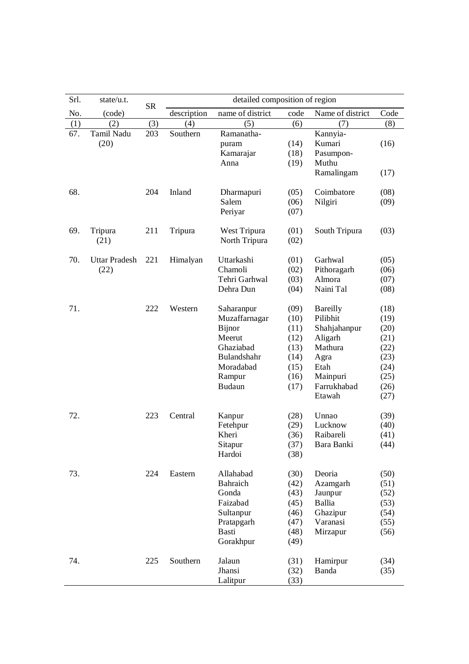| Srl. | state/u.t.                   | <b>SR</b> |             | detailed composition of region                                                                                             |                                                                      |                                                                                                                        |                                                                              |
|------|------------------------------|-----------|-------------|----------------------------------------------------------------------------------------------------------------------------|----------------------------------------------------------------------|------------------------------------------------------------------------------------------------------------------------|------------------------------------------------------------------------------|
| No.  | (code)                       |           | description | name of district                                                                                                           | code                                                                 | Name of district                                                                                                       | Code                                                                         |
| (1)  | (2)                          | (3)       | (4)         | (5)                                                                                                                        | (6)                                                                  | (7)                                                                                                                    | (8)                                                                          |
| 67.  | Tamil Nadu<br>(20)           | 203       | Southern    | Ramanatha-<br>puram<br>Kamarajar<br>Anna                                                                                   | (14)<br>(18)<br>(19)                                                 | Kannyia-<br>Kumari<br>Pasumpon-<br>Muthu                                                                               | (16)                                                                         |
|      |                              |           |             |                                                                                                                            |                                                                      | Ramalingam                                                                                                             | (17)                                                                         |
| 68.  |                              | 204       | Inland      | Dharmapuri<br>Salem<br>Periyar                                                                                             | (05)<br>(06)<br>(07)                                                 | Coimbatore<br>Nilgiri                                                                                                  | (08)<br>(09)                                                                 |
| 69.  | Tripura<br>(21)              | 211       | Tripura     | West Tripura<br>North Tripura                                                                                              | (01)<br>(02)                                                         | South Tripura                                                                                                          | (03)                                                                         |
| 70.  | <b>Uttar Pradesh</b><br>(22) | 221       | Himalyan    | Uttarkashi<br>Chamoli<br>Tehri Garhwal<br>Dehra Dun                                                                        | (01)<br>(02)<br>(03)<br>(04)                                         | Garhwal<br>Pithoragarh<br>Almora<br>Naini Tal                                                                          | (05)<br>(06)<br>(07)<br>(08)                                                 |
| 71.  |                              | 222       | Western     | Saharanpur<br>Muzaffarnagar<br><b>Bijnor</b><br>Meerut<br>Ghaziabad<br>Bulandshahr<br>Moradabad<br>Rampur<br><b>Budaun</b> | (09)<br>(10)<br>(11)<br>(12)<br>(13)<br>(14)<br>(15)<br>(16)<br>(17) | <b>Bareilly</b><br>Pilibhit<br>Shahjahanpur<br>Aligarh<br>Mathura<br>Agra<br>Etah<br>Mainpuri<br>Farrukhabad<br>Etawah | (18)<br>(19)<br>(20)<br>(21)<br>(22)<br>(23)<br>(24)<br>(25)<br>(26)<br>(27) |
| 72.  |                              | 223       | Central     | Kanpur<br>Fetehpur<br>Kheri<br>Sitapur<br>Hardoi                                                                           | (28)<br>(29)<br>(36)<br>(37)<br>(38)                                 | Unnao<br>Lucknow<br>Raibareli<br>Bara Banki                                                                            | (39)<br>(40)<br>(41)<br>(44)                                                 |
| 73.  |                              | 224       | Eastern     | Allahabad<br><b>Bahraich</b><br>Gonda<br>Faizabad<br>Sultanpur<br>Pratapgarh<br>Basti<br>Gorakhpur                         | (30)<br>(42)<br>(43)<br>(45)<br>(46)<br>(47)<br>(48)<br>(49)         | Deoria<br>Azamgarh<br>Jaunpur<br>Ballia<br>Ghazipur<br>Varanasi<br>Mirzapur                                            | (50)<br>(51)<br>(52)<br>(53)<br>(54)<br>(55)<br>(56)                         |
| 74.  |                              | 225       | Southern    | Jalaun<br>Jhansi<br>Lalitpur                                                                                               | (31)<br>(32)<br>(33)                                                 | Hamirpur<br>Banda                                                                                                      | (34)<br>(35)                                                                 |